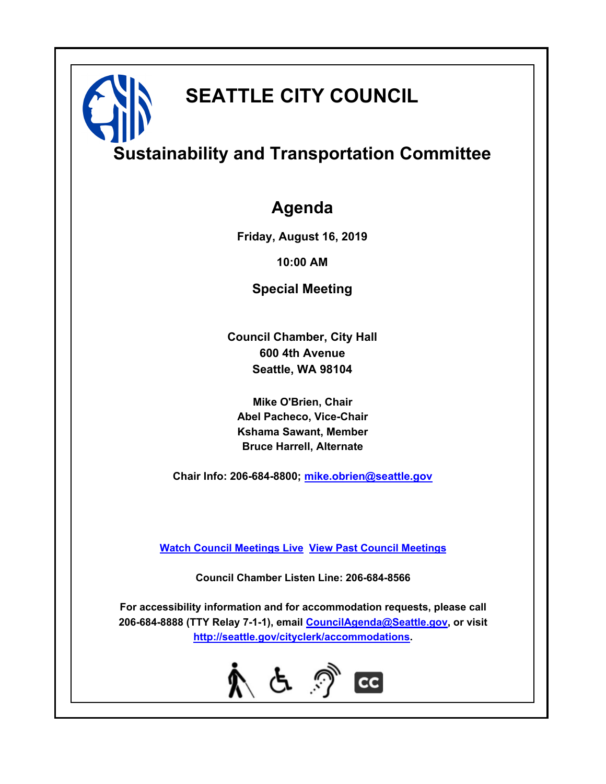# **SEATTLE CITY COUNCIL**

# **Sustainability and Transportation Committee**

# **Agenda**

**Friday, August 16, 2019**

**10:00 AM**

**Special Meeting**

**Council Chamber, City Hall 600 4th Avenue Seattle, WA 98104**

**Mike O'Brien, Chair Abel Pacheco, Vice-Chair Kshama Sawant, Member Bruce Harrell, Alternate**

**Chair Info: 206-684-8800; [mike.obrien@seattle.gov](mailto:mike.obrien@seattle.gov)**

**[Watch Council Meetings Live](http://www.seattle.gov/council/councillive.htm) [View Past Council Meetings](http://www.seattlechannel.org/videos/browseVideos.asp?topic=council)**

**Council Chamber Listen Line: 206-684-8566**

**For accessibility information and for accommodation requests, please call 206-684-8888 (TTY Relay 7-1-1), email [CouncilAgenda@Seattle.gov](mailto:CouncilAgenda@Seattle.gov), or visit <http://seattle.gov/cityclerk/accommodations>.**

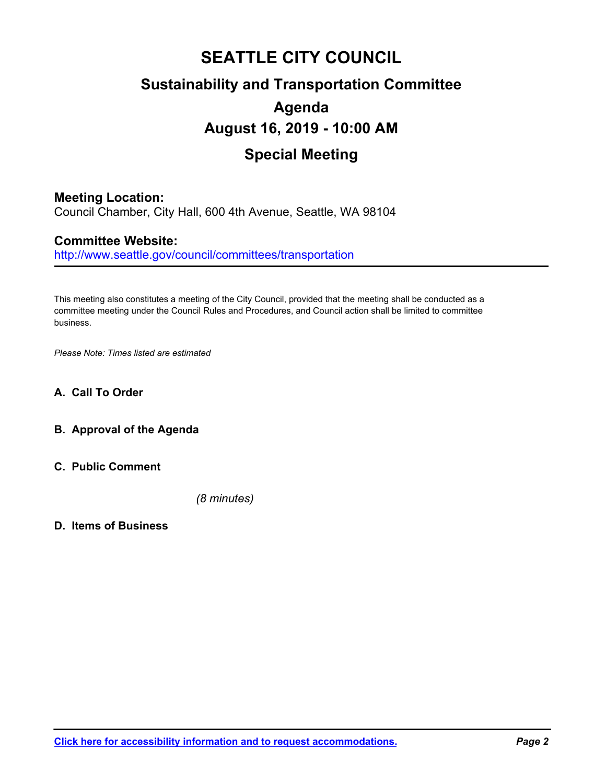# **SEATTLE CITY COUNCIL Sustainability and Transportation Committee Agenda August 16, 2019 - 10:00 AM Special Meeting**

# **Meeting Location:**

Council Chamber, City Hall, 600 4th Avenue, Seattle, WA 98104

# **Committee Website:**

http://www.seattle.gov/council/committees/transportation

This meeting also constitutes a meeting of the City Council, provided that the meeting shall be conducted as a committee meeting under the Council Rules and Procedures, and Council action shall be limited to committee business.

*Please Note: Times listed are estimated*

## **A. Call To Order**

- **B. Approval of the Agenda**
- **C. Public Comment**

*(8 minutes)*

**D. Items of Business**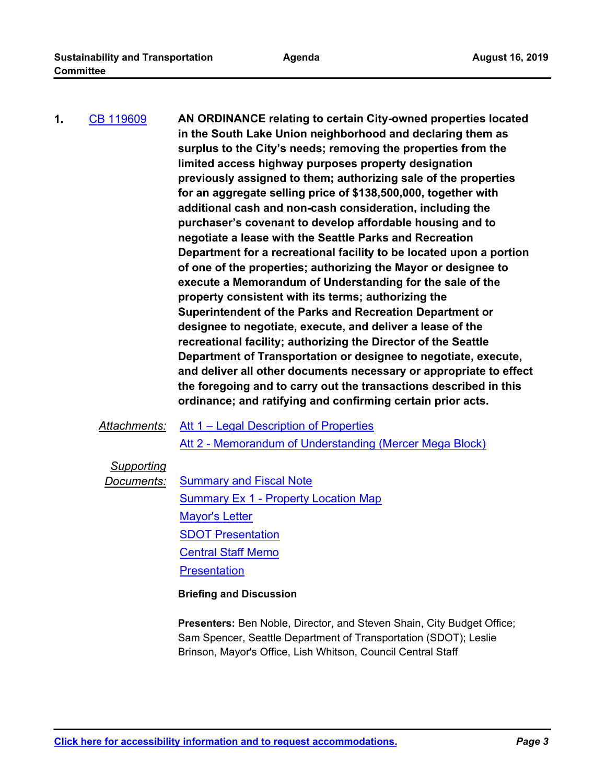**AN ORDINANCE relating to certain City-owned properties located in the South Lake Union neighborhood and declaring them as surplus to the City's needs; removing the properties from the limited access highway purposes property designation previously assigned to them; authorizing sale of the properties for an aggregate selling price of \$138,500,000, together with additional cash and non-cash consideration, including the purchaser's covenant to develop affordable housing and to negotiate a lease with the Seattle Parks and Recreation Department for a recreational facility to be located upon a portion of one of the properties; authorizing the Mayor or designee to execute a Memorandum of Understanding for the sale of the property consistent with its terms; authorizing the Superintendent of the Parks and Recreation Department or designee to negotiate, execute, and deliver a lease of the recreational facility; authorizing the Director of the Seattle Department of Transportation or designee to negotiate, execute, and deliver all other documents necessary or appropriate to effect the foregoing and to carry out the transactions described in this ordinance; and ratifying and confirming certain prior acts. 1.** [CB 119609](http://seattle.legistar.com/gateway.aspx?m=l&id=/matter.aspx?key=8933)

*Attachments:* [Att 1 – Legal Description of Properties](http://seattle.legistar.com/gateway.aspx?M=F&ID=f646a169-57f6-47e7-b23c-458593c8aadf.docx)

[Att 2 - Memorandum of Understanding \(Mercer Mega Block\)](http://seattle.legistar.com/gateway.aspx?M=F&ID=040c81a8-8bd4-43f4-9e35-7f3261484618.pdf)

# *Supporting*

**Documents:** [Summary and Fiscal Note](http://seattle.legistar.com/gateway.aspx?M=F&ID=3607a1bc-8fc4-4535-8613-0099186923b2.docx) [Summary Ex 1 - Property Location Map](http://seattle.legistar.com/gateway.aspx?M=F&ID=2ed7dd0f-4cc1-4b9b-b39c-10b4992330a3.pdf) [Mayor's Letter](http://seattle.legistar.com/gateway.aspx?M=F&ID=5f0ba2ee-0b58-437d-8c8f-573cd35f8ed7.pdf) [SDOT Presentation](http://seattle.legistar.com/gateway.aspx?M=F&ID=5b229b5b-7efb-4857-9973-07e34e3f93b7.pdf) [Central Staff Memo](http://seattle.legistar.com/gateway.aspx?M=F&ID=bcae3ea7-4c13-4fb8-bc5b-15e703b036b4.pdf) **[Presentation](http://seattle.legistar.com/gateway.aspx?M=F&ID=f25781a4-b438-4ebd-bad6-75fc16f39091.pdf)** 

### **Briefing and Discussion**

**Presenters:** Ben Noble, Director, and Steven Shain, City Budget Office; Sam Spencer, Seattle Department of Transportation (SDOT); Leslie Brinson, Mayor's Office, Lish Whitson, Council Central Staff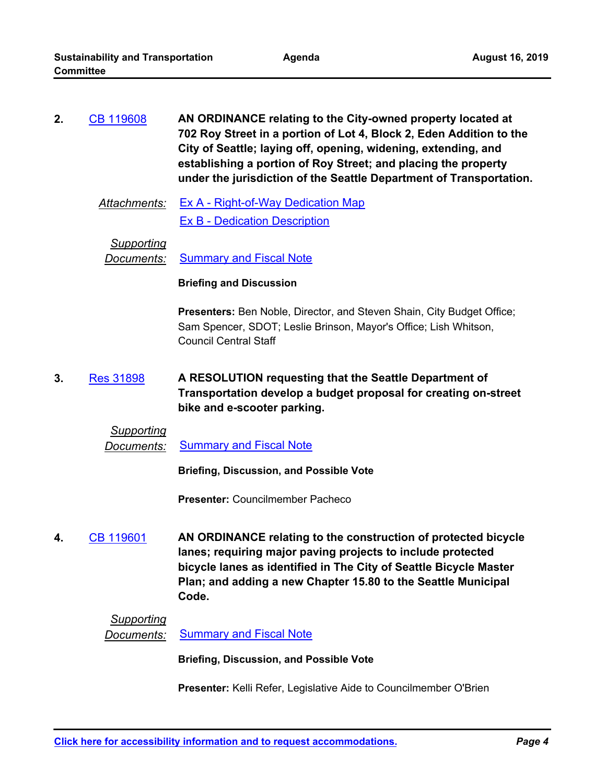| 2. | CB 119608 | AN ORDINANCE relating to the City-owned property located at         |
|----|-----------|---------------------------------------------------------------------|
|    |           | 702 Roy Street in a portion of Lot 4, Block 2, Eden Addition to the |
|    |           | City of Seattle; laying off, opening, widening, extending, and      |
|    |           | establishing a portion of Roy Street; and placing the property      |
|    |           | under the jurisdiction of the Seattle Department of Transportation. |

*Attachments:* [Ex A - Right-of-Way Dedication Map](http://seattle.legistar.com/gateway.aspx?M=F&ID=f54942bc-3d09-4e66-876f-d8fec3535798.pdf) [Ex B - Dedication Description](http://seattle.legistar.com/gateway.aspx?M=F&ID=81fa7665-da0e-41f5-8252-ac280fb2f0d1.pdf)

*Supporting*

**Documents:** [Summary and Fiscal Note](http://seattle.legistar.com/gateway.aspx?M=F&ID=300f7e4b-7881-4f48-be53-05ba96aff996.docx)

#### **Briefing and Discussion**

**Presenters:** Ben Noble, Director, and Steven Shain, City Budget Office; Sam Spencer, SDOT; Leslie Brinson, Mayor's Office; Lish Whitson, Council Central Staff

**A RESOLUTION requesting that the Seattle Department of Transportation develop a budget proposal for creating on-street bike and e-scooter parking. 3.** [Res 31898](http://seattle.legistar.com/gateway.aspx?m=l&id=/matter.aspx?key=8972)

# *Supporting*

*Documents:* [Summary and Fiscal Note](http://seattle.legistar.com/gateway.aspx?M=F&ID=1b15feed-9327-4183-9e68-4e67d6e625b4.docx)

**Briefing, Discussion, and Possible Vote**

**Presenter:** Councilmember Pacheco

**AN ORDINANCE relating to the construction of protected bicycle lanes; requiring major paving projects to include protected bicycle lanes as identified in The City of Seattle Bicycle Master Plan; and adding a new Chapter 15.80 to the Seattle Municipal Code. 4.** [CB 119601](http://seattle.legistar.com/gateway.aspx?m=l&id=/matter.aspx?key=8927)

## *Supporting*

**Documents:** [Summary and Fiscal Note](http://seattle.legistar.com/gateway.aspx?M=F&ID=7b5cbaaa-de4c-4bb2-bbed-3d25c8ef4284.docx)

**Briefing, Discussion, and Possible Vote**

**Presenter:** Kelli Refer, Legislative Aide to Councilmember O'Brien